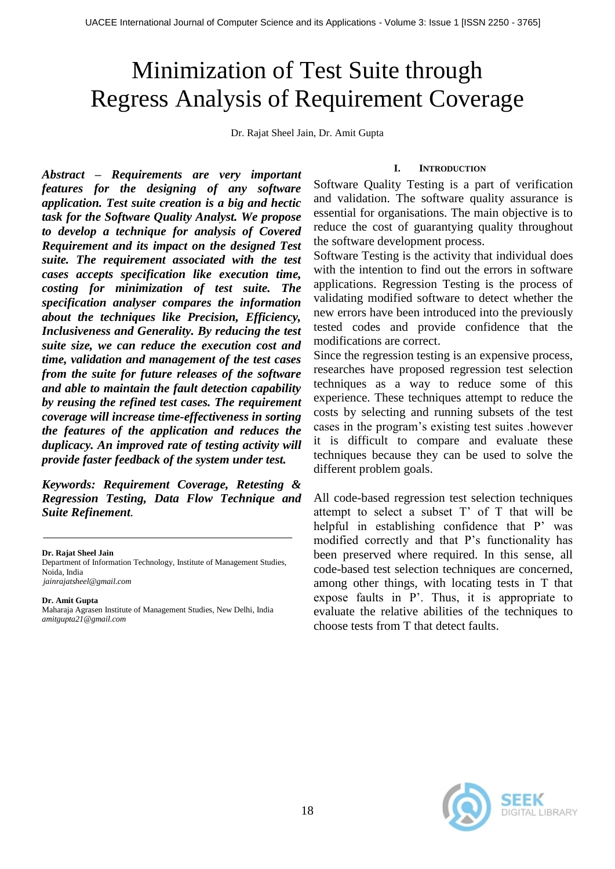# Minimization of Test Suite through Regress Analysis of Requirement Coverage

Dr. Rajat Sheel Jain, Dr. Amit Gupta

# **I. INTRODUCTION**

*Abstract – Requirements are very important features for the designing of any software application. Test suite creation is a big and hectic task for the Software Quality Analyst. We propose to develop a technique for analysis of Covered Requirement and its impact on the designed Test suite. The requirement associated with the test cases accepts specification like execution time, costing for minimization of test suite. The specification analyser compares the information about the techniques like Precision, Efficiency, Inclusiveness and Generality. By reducing the test suite size, we can reduce the execution cost and time, validation and management of the test cases from the suite for future releases of the software and able to maintain the fault detection capability by reusing the refined test cases. The requirement coverage will increase time-effectiveness in sorting the features of the application and reduces the duplicacy. An improved rate of testing activity will provide faster feedback of the system under test.*

*Keywords: Requirement Coverage, Retesting & Regression Testing, Data Flow Technique and Suite Refinement.*

**Dr. Rajat Sheel Jain**

Department of Information Technology, Institute of Management Studies, Noida, India *[jainrajatsheel@gmail.com](mailto:jainrajatsheel@gmail.com)*

#### **Dr. Amit Gupta**

Maharaja Agrasen Institute of Management Studies, New Delhi, India *amitgupta21@gmail.com*

Software Quality Testing is a part of verification and validation. The software quality assurance is essential for organisations. The main objective is to reduce the cost of guarantying quality throughout the software development process.

Software Testing is the activity that individual does with the intention to find out the errors in software applications. Regression Testing is the process of validating modified software to detect whether the new errors have been introduced into the previously tested codes and provide confidence that the modifications are correct.

Since the regression testing is an expensive process, researches have proposed regression test selection techniques as a way to reduce some of this experience. These techniques attempt to reduce the costs by selecting and running subsets of the test cases in the program's existing test suites .however it is difficult to compare and evaluate these techniques because they can be used to solve the different problem goals.

All code-based regression test selection techniques attempt to select a subset T' of T that will be helpful in establishing confidence that P' was modified correctly and that P's functionality has been preserved where required. In this sense, all code-based test selection techniques are concerned, among other things, with locating tests in T that expose faults in P'. Thus, it is appropriate to evaluate the relative abilities of the techniques to choose tests from T that detect faults.

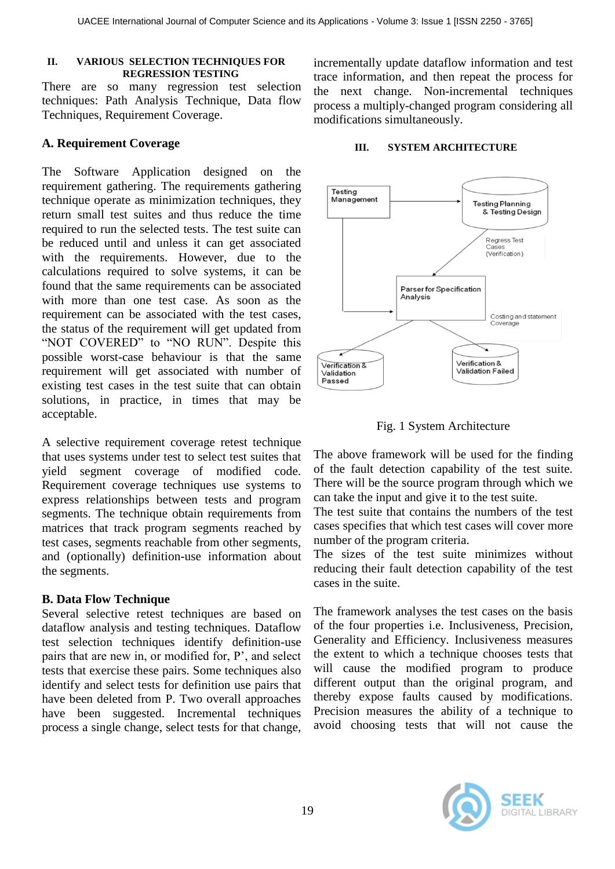#### **II. VARIOUS SELECTION TECHNIQUES FOR REGRESSION TESTING**

There are so many regression test selection techniques: Path Analysis Technique, Data flow Techniques, Requirement Coverage.

# **A. Requirement Coverage**

The Software Application designed on the requirement gathering. The requirements gathering technique operate as minimization techniques, they return small test suites and thus reduce the time required to run the selected tests. The test suite can be reduced until and unless it can get associated with the requirements. However, due to the calculations required to solve systems, it can be found that the same requirements can be associated with more than one test case. As soon as the requirement can be associated with the test cases, the status of the requirement will get updated from "NOT COVERED" to "NO RUN". Despite this possible worst-case behaviour is that the same requirement will get associated with number of existing test cases in the test suite that can obtain solutions, in practice, in times that may be acceptable.

A selective requirement coverage retest technique that uses systems under test to select test suites that yield segment coverage of modified code. Requirement coverage techniques use systems to express relationships between tests and program segments. The technique obtain requirements from matrices that track program segments reached by test cases, segments reachable from other segments, and (optionally) definition-use information about the segments.

# **B. Data Flow Technique**

Several selective retest techniques are based on dataflow analysis and testing techniques. Dataflow test selection techniques identify definition-use pairs that are new in, or modified for, P', and select tests that exercise these pairs. Some techniques also identify and select tests for definition use pairs that have been deleted from P. Two overall approaches have been suggested. Incremental techniques process a single change, select tests for that change, incrementally update dataflow information and test trace information, and then repeat the process for the next change. Non-incremental techniques process a multiply-changed program considering all modifications simultaneously.

## **III. SYSTEM ARCHITECTURE**





The above framework will be used for the finding of the fault detection capability of the test suite. There will be the source program through which we can take the input and give it to the test suite.

The test suite that contains the numbers of the test cases specifies that which test cases will cover more number of the program criteria.

The sizes of the test suite minimizes without reducing their fault detection capability of the test cases in the suite.

The framework analyses the test cases on the basis of the four properties i.e. Inclusiveness, Precision, Generality and Efficiency. Inclusiveness measures the extent to which a technique chooses tests that will cause the modified program to produce different output than the original program, and thereby expose faults caused by modifications. Precision measures the ability of a technique to avoid choosing tests that will not cause the

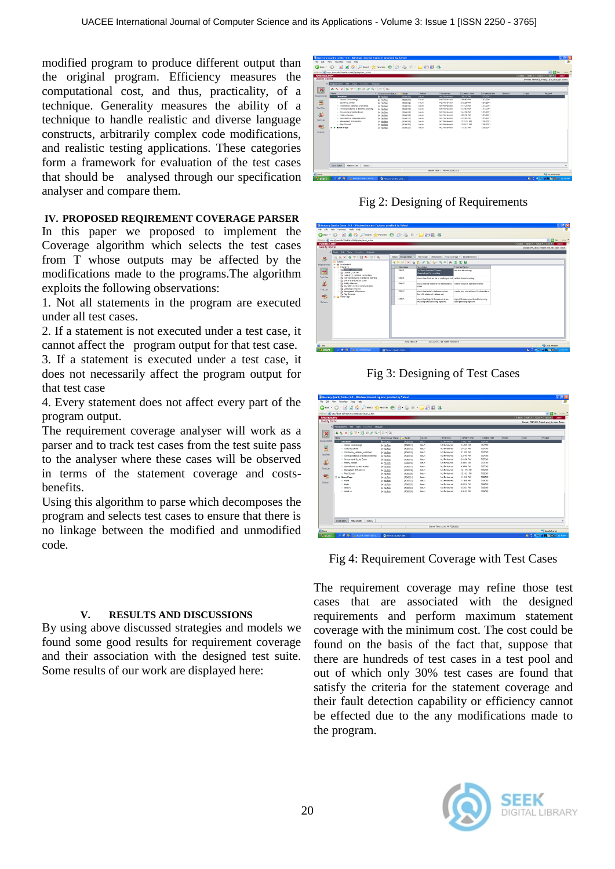modified program to produce different output than the original program. Efficiency measures the computational cost, and thus, practicality, of a technique. Generality measures the ability of a technique to handle realistic and diverse language constructs, arbitrarily complex code modifications, and realistic testing applications. These categories form a framework for evaluation of the test cases that should be analysed through our specification analyser and compare them.

## **IV. PROPOSED REQIREMENT COVERAGE PARSER**

In this paper we proposed to implement the Coverage algorithm which selects the test cases from T whose outputs may be affected by the modifications made to the programs.The algorithm exploits the following observations:

1. Not all statements in the program are executed under all test cases.

2. If a statement is not executed under a test case, it cannot affect the program output for that test case.

3. If a statement is executed under a test case, it does not necessarily affect the program output for that test case

4. Every statement does not affect every part of the program output.

The requirement coverage analyser will work as a parser and to track test cases from the test suite pass to the analyser where these cases will be observed in terms of the statement coverage and costsbenefits.

Using this algorithm to parse which decomposes the program and selects test cases to ensure that there is no linkage between the modified and unmodified code.

#### **V. RESULTS AND DISCUSSIONS**

By using above discussed strategies and models we found some good results for requirement coverage and their association with the designed test suite. Some results of our work are displayed here:

| Address 43 http://kent-05/70e4061-0000/g/biry0.et_a.htm<br><b>MERCURY</b> |                       |                  |              |                                 |               |                |         | CHACK NEXT> TOOLS = RELP = | w El Go Livia M                                  |  |
|---------------------------------------------------------------------------|-----------------------|------------------|--------------|---------------------------------|---------------|----------------|---------|----------------------------|--------------------------------------------------|--|
| Quality Center                                                            |                       |                  |              |                                 |               |                |         |                            | Donest: FRANCE, Project: proj. fin. Utrec: Terun |  |
| C Registereds DR View Favorites Andrew                                    |                       |                  |              |                                 |               |                |         |                            |                                                  |  |
| ASXST BBCS BB                                                             |                       |                  |              |                                 |               |                |         |                            |                                                  |  |
| <b>Finese</b>                                                             | . Direct Cover Status | <b>Regio</b>     | Author       | <b>Financing</b>                | Crew kin Tree | Crewton/Code   | Printly | Type                       | Product                                          |  |
| <b>Nowarcreres</b><br>T F Education                                       | <b>Breasto</b>        | (800010)         | tenan.       | <b>Not Reviewed</b>             | 1.50 27 PM    | 7/27/2011      |         |                            |                                                  |  |
| - Career Counsellings                                                     | <b>Jr No Flum</b>     | (1000011)        | <b>Mouth</b> | Nick Revieweed                  | 1.53 49 PM    | 7/27/2011      |         |                            |                                                  |  |
| - Coaching center                                                         | le Nollan             | IRG00121         | <b>Idean</b> | <b>Not Reviewed</b>             | 2:42 29 PM    | 7/27/2011      |         |                            |                                                  |  |
| - Contrance seninar workshop                                              | le tiuliun            | (RG0013)         | <b>banum</b> | <b>Not Wandersond</b>           | 31320 PM      | 7/27/2011      |         |                            |                                                  |  |
| - Correspondance & distance learning                                      | le Nothin             | (9)(30014)       | <b>tenan</b> | Not Reviewed                    | 3:34:49 PM    | 7/27/2011      |         |                            |                                                  |  |
| - Government Sector From                                                  | le Nother             | IRG00151         | <b>Mouth</b> | N/Z Reviewed                    | 3:44 06 PM    | 7/27/2011      |         |                            |                                                  |  |
| - Hobby classes                                                           | le Nollan             | (RG0014)         | terum        | <b>Nd Was brown!</b>            | 4.03.54 PM    | 7/27/2011      |         |                            |                                                  |  |
| - Assemblan & communication.                                              | le tiuliun            | (RG0317)         | tenin        | <b>Nd Reviewed</b>              | 4.35.46.098   | 7/27/2011      |         |                            |                                                  |  |
| - Managered & Business                                                    | $>$ No Fish           | (19) (300 31 91) | <b>Mount</b> | N/Z Reviewed                    | 1219 52 PM    | 7/29/2011      |         |                            |                                                  |  |
| - Play School                                                             | $>$ No Fun            | IRG002201        | <b>Mount</b> | <b>Not Reviewed</b>             | 12:09:21.996  | 7/29/2011      |         |                            |                                                  |  |
| (3) @ Home Page                                                           | le NoRuo              | (RG00221)        | tenm         | <b>Nd Fay to your</b>           | 111212798     | <b>TOMOTHY</b> |         |                            |                                                  |  |
|                                                                           |                       |                  |              |                                 |               |                |         |                            |                                                  |  |
|                                                                           |                       |                  |              |                                 |               |                |         |                            |                                                  |  |
|                                                                           |                       |                  |              |                                 |               |                |         |                            |                                                  |  |
|                                                                           |                       |                  |              |                                 |               |                |         |                            |                                                  |  |
|                                                                           |                       |                  |              |                                 |               |                |         |                            |                                                  |  |
|                                                                           |                       |                  |              |                                 |               |                |         |                            |                                                  |  |
|                                                                           |                       |                  |              |                                 |               |                |         |                            |                                                  |  |
|                                                                           |                       |                  |              |                                 |               |                |         |                            |                                                  |  |
|                                                                           |                       |                  |              |                                 |               |                |         |                            |                                                  |  |
|                                                                           |                       |                  |              |                                 |               |                |         |                            |                                                  |  |
| Attacivents<br>History.<br>Description                                    |                       |                  |              |                                 |               |                |         |                            |                                                  |  |
|                                                                           |                       |                  |              | Secure Time: 11/40 PM 7/29/2011 |               |                |         |                            |                                                  |  |

Fig 2: Designing of Requirements

| ◎bot · ◎ · ■ ■ ◎ ○santi 女Fantas ● ② △ E · ■ 回顧 3<br>Address @ http://kent-0bf70e4060.0000/gdaryktert_a.htm |                |                                                                                       |                                                               | $V$ $E$ do usis $W$                            |
|------------------------------------------------------------------------------------------------------------|----------------|---------------------------------------------------------------------------------------|---------------------------------------------------------------|------------------------------------------------|
| <b>MERCURY</b>                                                                                             |                |                                                                                       |                                                               | CRACK AFRICA CORT - HERWI<br>LOOKIT            |
| Quality Center                                                                                             |                |                                                                                       |                                                               | Domain: PRANICE, Preject.proj_fin.User. Tanun. |
| G Testo Edit View Forcetos Andreas<br>□ B X 5 7 拉 M 回 Q<br>多                                               | Cetals         | Denign Steps - Test Script Attachments Reg Coverage = Linked Detects                  |                                                               |                                                |
| <b>B</b> Subject<br><b>St. 4h Undeched</b>                                                                 |                | <b>ルレン × もま クセス モール め 田 泊 日</b>                                                       |                                                               |                                                |
| <b>Requirements</b><br>St. Ct. Difusoidors                                                                 | U Shon Niwma   | Description                                                                           | <b>Treasfed FascA</b>                                         |                                                |
| Career Counselings<br>E<br><b>By Coaching Center</b><br>b contrance seninar workshop                       | Step 1         | To Check that Link "Career"<br>Councellings" is warking.                              | Ink should working                                            |                                                |
| <b>Text Plan</b><br>Pe correspondance & distance loaning<br><b>By Government Sector Errorn</b>             | Shep 4         | check ther Post ad Ink to working or not ad Ink should working                        |                                                               |                                                |
| 退<br><b>The Holiday Classing</b><br>Dy Journalism & new communication<br>The Language counters             | 5880.2         | check that all states are in alphabetical states should in alphabet orders.<br>cester |                                                               |                                                |
| Test Lab<br>By Hannomerd & Dustress<br><b>By Play Schools</b><br>堅<br><b>SI-Ba Hone Page</b>               | 5002           | check that indals state combo box<br>have 30 states of india or not                   | combo box should have 25 characters                           |                                                |
| Detects                                                                                                    | Step 5         | check that login is a password are<br>showing after pressing login ink                | login ld & peopword should showing<br>wher pressing login ink |                                                |
|                                                                                                            |                |                                                                                       |                                                               |                                                |
|                                                                                                            |                |                                                                                       |                                                               |                                                |
|                                                                                                            |                |                                                                                       |                                                               |                                                |
|                                                                                                            |                |                                                                                       |                                                               |                                                |
|                                                                                                            |                |                                                                                       |                                                               |                                                |
|                                                                                                            | Total Stress & | Secure Time: 11:42 PM 7/29/2011                                                       |                                                               |                                                |
| <b>El Done</b>                                                                                             |                |                                                                                       |                                                               | <b>Calcool Intranet</b>                        |

Fig 3: Designing of Test Cases

|                     | Mercury Quality Center 9.0 - Windows Internet Explorer provided by Yahoo! |                     |                |               |                                 |               |               |          |                   | $\Box$ $\Box$ $\times$                           |  |  |
|---------------------|---------------------------------------------------------------------------|---------------------|----------------|---------------|---------------------------------|---------------|---------------|----------|-------------------|--------------------------------------------------|--|--|
|                     | Edit View Favorites Tools Help                                            |                     |                |               |                                 |               |               |          |                   |                                                  |  |  |
|                     | O tox · ○ ■ ■ ◎ P see the grants ● B B E · ■ 图説 名                         |                     |                |               |                                 |               |               |          |                   |                                                  |  |  |
|                     | Address @ Http://www.dbi70e4062.0000/qcbe/start_a.htm                     |                     |                |               |                                 |               |               |          |                   | $\times$ $E$ 60 UHz $^{n}$                       |  |  |
| <b>MERCURY</b>      |                                                                           |                     |                |               |                                 |               |               |          | CHEK MXT3 TOOLS = | <b>HIP</b><br><b>LEARED</b>                      |  |  |
| Quality Center      |                                                                           |                     |                |               |                                 |               |               |          |                   | Domain: FRANKE, Project: proj. fin. Upar: Tanun. |  |  |
| ٠                   | Reparamete D.R. View Forcetor Arabate                                     |                     |                |               |                                 |               |               |          |                   |                                                  |  |  |
| ×                   | 4 2 X 5 7 8 9 4 8 8 9                                                     |                     |                |               |                                 |               |               |          |                   |                                                  |  |  |
|                     | <b>None</b>                                                               | 4 Dred Cover Shikar | - RegD         | <b>ALEYCA</b> | Reviewed                        | Creation Time | Creation Date | Priority | Tups              | Product                                          |  |  |
| <b>Requirements</b> | <b>F. Education</b>                                                       | <b>BottoRun</b>     | (RG0010)       | bow           | <b>Not Reviewed</b>             | 1:50:27 PM    | 7/27/2011     |          |                   |                                                  |  |  |
|                     | - Career Councelines                                                      | $\gg$ No.Dan        | (RGCO11)       | terun.        | hird Revieweed                  | 1:50:03 PM    | 7/27/2011     |          |                   |                                                  |  |  |
| ≝                   | - Coaching center                                                         | <b>Jan No Run</b>   | (RGO012)       | benut.        | <b>Not Reviewed</b>             | 24229 PM      | 7/27/2011     |          |                   |                                                  |  |  |
|                     | - Contrence centrar workshop                                              | $>$ to the          | (RGCO13)       | benut-        | Not Reviewed                    | 31329 PM      | 7/27/2011     |          |                   |                                                  |  |  |
| Test Ping           | - Correspondence & distance learning                                      | le tipBuo           | (RGCO14)       | terun         | <b>Net Reviewed</b>             | 3.24-43 PM    | 7/27/2011     |          |                   |                                                  |  |  |
| л                   | - Oovertwent Sector Exam                                                  | $>$ tip flux        | (RGCO15)       | benuty        | Not Reviewed                    | 3:44:06 PM    | 7/37/2011     |          |                   |                                                  |  |  |
|                     | - Holdy cleaner                                                           | $\n  10.8 m$        | (RGOD16)       | bean          | <b>Not Reviewed</b>             | 4 09:54 PM    | 7/27/2011     |          |                   |                                                  |  |  |
|                     | - Jaunaion & connunication                                                | le tiu tuo          | (RGCO17)       | terun         | <b>Net Reviewed</b>             | 4.30.43 PM    | 7/07/0011     |          |                   |                                                  |  |  |
| Test Lab            | - Hangment & Dustress                                                     | L-No Run            | (RG0019)       | boun          | <b>Not Reviewed</b>             | 1215:52 PM    | 7/29/2011     |          |                   |                                                  |  |  |
|                     | - Play School                                                             | le No Dun           | <b>INCODER</b> | terun.        | hird Revieweed                  | 1249:21 PM    | 7/29/2011     |          |                   |                                                  |  |  |
| q,                  | <b>B</b> . Nome Page                                                      | <b>Je No Run</b>    | (RGO021)       | benut.        | <b>Not Reviewed</b>             | 1:1512 PM     | 7/29/2011     |          |                   |                                                  |  |  |
|                     | $-$ Hotel                                                                 | $>$ to the          | <b>INGODZZ</b> | twan.         | hird Reviewed                   | 11990 PM      | 7/29/2011     |          |                   |                                                  |  |  |
| Dedects             | $+$ Legin                                                                 | $P$ No Rug          | (RG0023)       | best.         | <b>F&amp;d Reviewed</b>         | 30615 PM      | 7/29/2011     |          |                   |                                                  |  |  |
|                     | $=$ search                                                                | $>$ to the          | <b>IRGODON</b> | benuty        | Not Reviewed                    | 3:52:33 PM    | 7/29/3011     |          |                   |                                                  |  |  |
|                     | o about un.                                                               | In No Run.          | <b>PO0025</b>  | bean          | <b>Not Reviewed</b>             | 4:06:35 PM    | 7/29/2011     |          |                   |                                                  |  |  |
|                     |                                                                           |                     |                |               |                                 |               |               |          |                   |                                                  |  |  |
|                     |                                                                           |                     |                |               |                                 |               |               |          |                   |                                                  |  |  |
|                     |                                                                           |                     |                |               |                                 |               |               |          |                   |                                                  |  |  |
|                     |                                                                           |                     |                |               |                                 |               |               |          |                   |                                                  |  |  |
|                     |                                                                           |                     |                |               |                                 |               |               |          |                   |                                                  |  |  |
|                     | Attachments Hotory<br><b>Description</b>                                  |                     |                |               |                                 |               |               |          |                   |                                                  |  |  |
|                     |                                                                           |                     |                |               | Server Time: 11:41 PM 7/29/2011 |               |               |          |                   |                                                  |  |  |
|                     |                                                                           |                     |                |               |                                 |               |               |          |                   | Local Intranet                                   |  |  |
| <b>By start</b>     | 0.9 <sup>1</sup><br><b>El lochis Tarah - Art A</b>                        | Mercury Quilty Cart |                |               |                                 |               |               |          |                   | <b>NICK BRACE DOM</b>                            |  |  |

Fig 4: Requirement Coverage with Test Cases

The requirement coverage may refine those test cases that are associated with the designed requirements and perform maximum statement coverage with the minimum cost. The cost could be found on the basis of the fact that, suppose that there are hundreds of test cases in a test pool and out of which only 30% test cases are found that satisfy the criteria for the statement coverage and their fault detection capability or efficiency cannot be effected due to the any modifications made to the program.